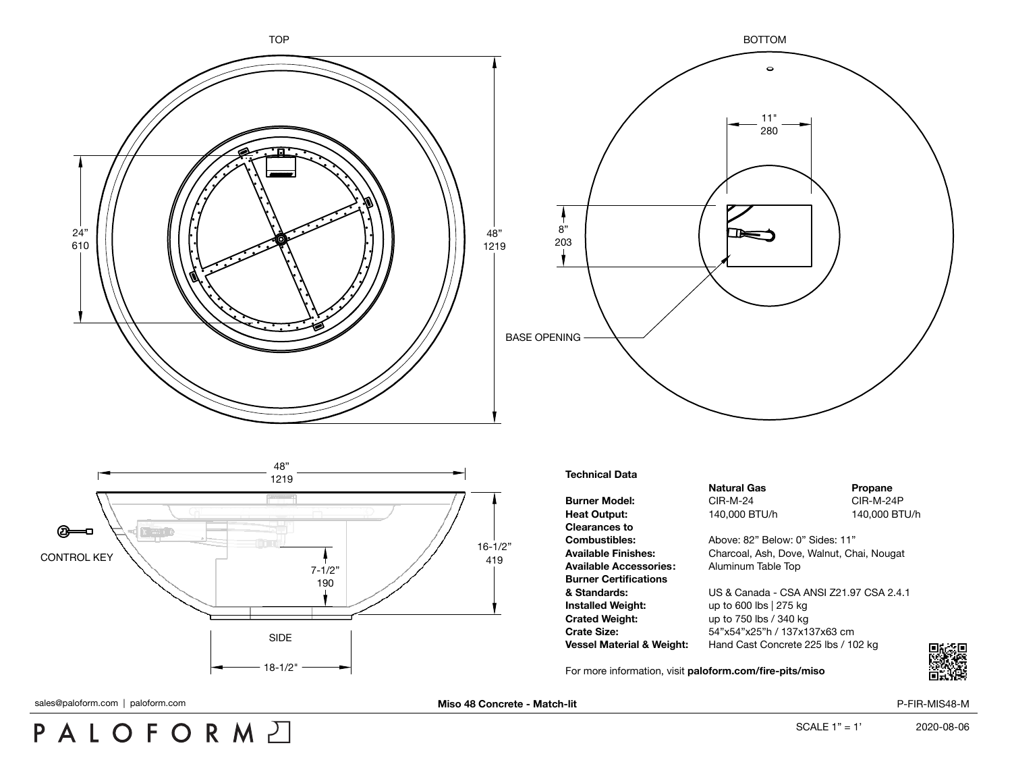





## **Technical Data**

**Clearances to Available Accessories:** Aluminum Table Top **Burner Certifications Installed Weight:** up to 600 lbs | 275 kg **Crated Weight:** up to 750 lbs / 340 kg

**Natural Gas Propane Burner Model:** CIR-M-24 CIR-M-24P **Heat Output:** 140,000 BTU/h 140,000 BTU/h

**Combustibles:** Above: 82" Below: 0" Sides: 11" **Available Finishes:** Charcoal, Ash, Dove, Walnut, Chai, Nougat

**& Standards:** US & Canada - CSA ANSI Z21.97 CSA 2.4.1 **Crate Size:** 54"x54"x25"h / 137x137x63 cm **Vessel Material & Weight:** Hand Cast Concrete 225 lbs / 102 kg

For more information, visit **[paloform.com/fire-pits/miso](http://paloform.com/fire-pits/miso)**



sales@paloform.com | paloform.com | **miso 48 Concrete - Match-lit Miso 48 Concrete - Match-lit** P-FIR-MIS48-M

## PALOFORMA